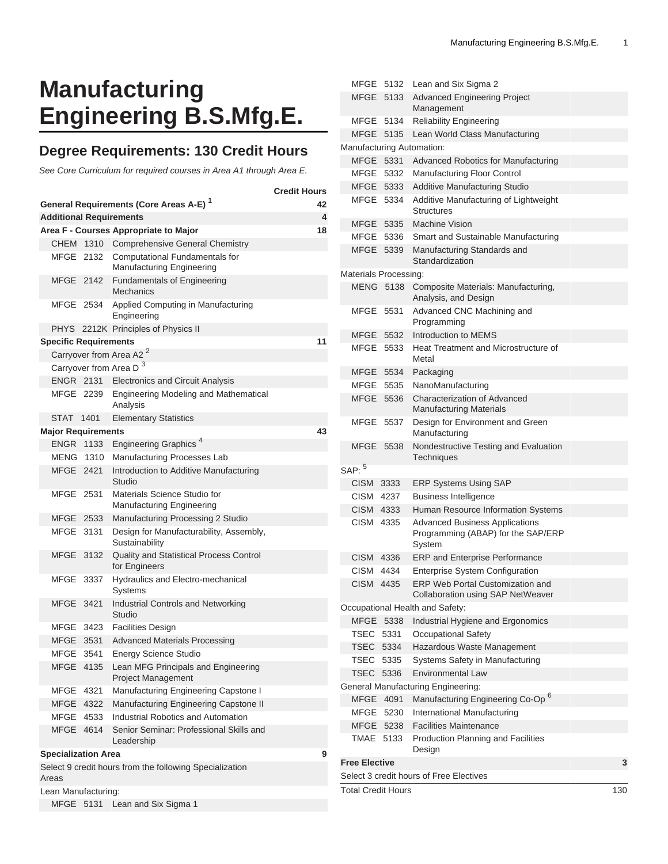# **Manufacturing Engineering B.S.Mfg.E.**

## **Degree Requirements: 130 Credit Hours**

See Core Curriculum for required courses in Area A1 through Area E.

|                                                                  |                                                    | <b>Credit Hours</b> |                                                                    |    |  |  |  |  |
|------------------------------------------------------------------|----------------------------------------------------|---------------------|--------------------------------------------------------------------|----|--|--|--|--|
|                                                                  | General Requirements (Core Areas A-E) <sup>1</sup> | 42                  |                                                                    |    |  |  |  |  |
|                                                                  |                                                    |                     | <b>Additional Requirements</b>                                     | 4  |  |  |  |  |
|                                                                  |                                                    |                     | Area F - Courses Appropriate to Major                              | 18 |  |  |  |  |
|                                                                  |                                                    |                     | CHEM 1310 Comprehensive General Chemistry                          |    |  |  |  |  |
|                                                                  | MFGE 2132                                          |                     | Computational Fundamentals for<br><b>Manufacturing Engineering</b> |    |  |  |  |  |
|                                                                  | MFGE 2142                                          |                     | <b>Fundamentals of Engineering</b><br><b>Mechanics</b>             |    |  |  |  |  |
|                                                                  | MFGE 2534                                          |                     | Applied Computing in Manufacturing<br>Engineering                  |    |  |  |  |  |
|                                                                  |                                                    |                     | PHYS 2212K Principles of Physics II                                |    |  |  |  |  |
| <b>Specific Requirements</b>                                     |                                                    |                     |                                                                    |    |  |  |  |  |
| Carryover from Area A2 <sup>2</sup>                              |                                                    |                     |                                                                    |    |  |  |  |  |
|                                                                  |                                                    |                     | Carryover from Area D <sup>3</sup>                                 |    |  |  |  |  |
|                                                                  | <b>ENGR 2131</b>                                   |                     | <b>Electronics and Circuit Analysis</b>                            |    |  |  |  |  |
|                                                                  | MFGE 2239                                          |                     | <b>Engineering Modeling and Mathematical</b><br>Analysis           |    |  |  |  |  |
|                                                                  | STAT 1401                                          |                     | <b>Elementary Statistics</b>                                       |    |  |  |  |  |
|                                                                  | <b>Major Requirements</b>                          |                     |                                                                    | 43 |  |  |  |  |
|                                                                  | <b>ENGR 1133</b>                                   |                     | Engineering Graphics <sup>4</sup>                                  |    |  |  |  |  |
|                                                                  | MENG 1310                                          |                     | Manufacturing Processes Lab                                        |    |  |  |  |  |
|                                                                  | MFGE 2421                                          |                     | Introduction to Additive Manufacturing<br>Studio                   |    |  |  |  |  |
|                                                                  | MFGE 2531                                          |                     | Materials Science Studio for<br>Manufacturing Engineering          |    |  |  |  |  |
|                                                                  | MFGE 2533                                          |                     | Manufacturing Processing 2 Studio                                  |    |  |  |  |  |
|                                                                  | MFGE 3131                                          |                     | Design for Manufacturability, Assembly,<br>Sustainability          |    |  |  |  |  |
|                                                                  | <b>MFGE</b>                                        | 3132                | Quality and Statistical Process Control<br>for Engineers           |    |  |  |  |  |
|                                                                  | MFGE                                               | 3337                | Hydraulics and Electro-mechanical<br><b>Systems</b>                |    |  |  |  |  |
|                                                                  | <b>MFGE</b>                                        | 3421                | Industrial Controls and Networking<br>Studio                       |    |  |  |  |  |
|                                                                  | MFGE                                               | 3423                | <b>Facilities Design</b>                                           |    |  |  |  |  |
|                                                                  | MFGE                                               | 3531                | <b>Advanced Materials Processing</b>                               |    |  |  |  |  |
|                                                                  | MFGE                                               | 3541                | <b>Energy Science Studio</b>                                       |    |  |  |  |  |
|                                                                  | MFGE                                               | 4135                | Lean MFG Principals and Engineering<br>Project Management          |    |  |  |  |  |
|                                                                  | MFGE                                               | 4321                | Manufacturing Engineering Capstone I                               |    |  |  |  |  |
|                                                                  | MFGE                                               | 4322                | Manufacturing Engineering Capstone II                              |    |  |  |  |  |
|                                                                  | MFGE                                               | 4533                | Industrial Robotics and Automation                                 |    |  |  |  |  |
|                                                                  | MFGE                                               | 4614                | Senior Seminar: Professional Skills and<br>Leadership              |    |  |  |  |  |
| <b>Specialization Area</b><br>9                                  |                                                    |                     |                                                                    |    |  |  |  |  |
| Select 9 credit hours from the following Specialization<br>Areas |                                                    |                     |                                                                    |    |  |  |  |  |
| Lean Manufacturing:                                              |                                                    |                     |                                                                    |    |  |  |  |  |
|                                                                  | MFGE 5131                                          |                     | Lean and Six Sigma 1                                               |    |  |  |  |  |

|                                                                                                                                                                                                                                                                                                                                                                                                                                                                                                                                                                                                                                                                                                                                                                                                                                                                                                                                                                                                                                                                                                                                                                                                                                                                                                                                                                                                                                                                                                                                                                                                                                                                                                                                                                                                                                                                                                     |             |      |                                              | 130 |  |  |
|-----------------------------------------------------------------------------------------------------------------------------------------------------------------------------------------------------------------------------------------------------------------------------------------------------------------------------------------------------------------------------------------------------------------------------------------------------------------------------------------------------------------------------------------------------------------------------------------------------------------------------------------------------------------------------------------------------------------------------------------------------------------------------------------------------------------------------------------------------------------------------------------------------------------------------------------------------------------------------------------------------------------------------------------------------------------------------------------------------------------------------------------------------------------------------------------------------------------------------------------------------------------------------------------------------------------------------------------------------------------------------------------------------------------------------------------------------------------------------------------------------------------------------------------------------------------------------------------------------------------------------------------------------------------------------------------------------------------------------------------------------------------------------------------------------------------------------------------------------------------------------------------------------|-------------|------|----------------------------------------------|-----|--|--|
| Select 3 credit hours of Free Electives                                                                                                                                                                                                                                                                                                                                                                                                                                                                                                                                                                                                                                                                                                                                                                                                                                                                                                                                                                                                                                                                                                                                                                                                                                                                                                                                                                                                                                                                                                                                                                                                                                                                                                                                                                                                                                                             |             |      |                                              |     |  |  |
| <b>Free Elective</b>                                                                                                                                                                                                                                                                                                                                                                                                                                                                                                                                                                                                                                                                                                                                                                                                                                                                                                                                                                                                                                                                                                                                                                                                                                                                                                                                                                                                                                                                                                                                                                                                                                                                                                                                                                                                                                                                                |             |      |                                              |     |  |  |
|                                                                                                                                                                                                                                                                                                                                                                                                                                                                                                                                                                                                                                                                                                                                                                                                                                                                                                                                                                                                                                                                                                                                                                                                                                                                                                                                                                                                                                                                                                                                                                                                                                                                                                                                                                                                                                                                                                     |             |      | Design                                       |     |  |  |
|                                                                                                                                                                                                                                                                                                                                                                                                                                                                                                                                                                                                                                                                                                                                                                                                                                                                                                                                                                                                                                                                                                                                                                                                                                                                                                                                                                                                                                                                                                                                                                                                                                                                                                                                                                                                                                                                                                     |             |      | <b>Facilities Maintenance</b>                |     |  |  |
|                                                                                                                                                                                                                                                                                                                                                                                                                                                                                                                                                                                                                                                                                                                                                                                                                                                                                                                                                                                                                                                                                                                                                                                                                                                                                                                                                                                                                                                                                                                                                                                                                                                                                                                                                                                                                                                                                                     |             |      | International Manufacturing                  |     |  |  |
|                                                                                                                                                                                                                                                                                                                                                                                                                                                                                                                                                                                                                                                                                                                                                                                                                                                                                                                                                                                                                                                                                                                                                                                                                                                                                                                                                                                                                                                                                                                                                                                                                                                                                                                                                                                                                                                                                                     |             |      | Manufacturing Engineering Co-Op <sup>6</sup> |     |  |  |
|                                                                                                                                                                                                                                                                                                                                                                                                                                                                                                                                                                                                                                                                                                                                                                                                                                                                                                                                                                                                                                                                                                                                                                                                                                                                                                                                                                                                                                                                                                                                                                                                                                                                                                                                                                                                                                                                                                     |             |      |                                              |     |  |  |
|                                                                                                                                                                                                                                                                                                                                                                                                                                                                                                                                                                                                                                                                                                                                                                                                                                                                                                                                                                                                                                                                                                                                                                                                                                                                                                                                                                                                                                                                                                                                                                                                                                                                                                                                                                                                                                                                                                     |             |      | <b>Environmental Law</b>                     |     |  |  |
|                                                                                                                                                                                                                                                                                                                                                                                                                                                                                                                                                                                                                                                                                                                                                                                                                                                                                                                                                                                                                                                                                                                                                                                                                                                                                                                                                                                                                                                                                                                                                                                                                                                                                                                                                                                                                                                                                                     |             |      | Systems Safety in Manufacturing              |     |  |  |
|                                                                                                                                                                                                                                                                                                                                                                                                                                                                                                                                                                                                                                                                                                                                                                                                                                                                                                                                                                                                                                                                                                                                                                                                                                                                                                                                                                                                                                                                                                                                                                                                                                                                                                                                                                                                                                                                                                     |             |      | Hazardous Waste Management                   |     |  |  |
|                                                                                                                                                                                                                                                                                                                                                                                                                                                                                                                                                                                                                                                                                                                                                                                                                                                                                                                                                                                                                                                                                                                                                                                                                                                                                                                                                                                                                                                                                                                                                                                                                                                                                                                                                                                                                                                                                                     |             | 5331 | <b>Occupational Safety</b>                   |     |  |  |
|                                                                                                                                                                                                                                                                                                                                                                                                                                                                                                                                                                                                                                                                                                                                                                                                                                                                                                                                                                                                                                                                                                                                                                                                                                                                                                                                                                                                                                                                                                                                                                                                                                                                                                                                                                                                                                                                                                     |             | 5338 | Industrial Hygiene and Ergonomics            |     |  |  |
| Management<br><b>MFGE</b><br>5134<br><b>Reliability Engineering</b><br>MFGE<br>Lean World Class Manufacturing<br>5135<br>Manufacturing Automation:<br>MFGE<br>5331<br><b>Advanced Robotics for Manufacturing</b><br>MFGE<br>5332<br>Manufacturing Floor Control<br>MFGE 5333<br><b>Additive Manufacturing Studio</b><br>MFGE 5334<br>Additive Manufacturing of Lightweight<br><b>Structures</b><br><b>Machine Vision</b><br>MFGE 5335<br>MFGE<br>5336<br>Smart and Sustainable Manufacturing<br>MFGE 5339<br>Manufacturing Standards and<br>Standardization<br>Materials Processing:<br><b>MENG 5138</b><br>Composite Materials: Manufacturing,<br>Analysis, and Design<br>Advanced CNC Machining and<br>MFGE 5531<br>Programming<br>MFGE 5532<br>Introduction to MEMS<br>MFGE<br>5533<br>Heat Treatment and Microstructure of<br>Metal<br>MFGE<br>5534<br>Packaging<br><b>MFGE</b><br>NanoManufacturing<br>5535<br><b>Characterization of Advanced</b><br>MFGE<br>5536<br><b>Manufacturing Materials</b><br>Design for Environment and Green<br>MFGE 5537<br>Manufacturing<br>Nondestructive Testing and Evaluation<br>MFGE<br>5538<br>Techniques<br>$SAP:$ <sup>5</sup><br><b>CISM</b><br>3333<br><b>ERP Systems Using SAP</b><br>CISM<br>4237<br><b>Business Intelligence</b><br>CISM 4333<br>Human Resource Information Systems<br>CISM 4335<br><b>Advanced Business Applications</b><br>Programming (ABAP) for the SAP/ERP<br>System<br>CISM 4336<br><b>ERP and Enterprise Performance</b><br>CISM 4434<br>Enterprise System Configuration<br>ERP Web Portal Customization and<br>CISM 4435<br>Collaboration using SAP NetWeaver<br>Occupational Health and Safety:<br>MFGE<br>TSEC<br>TSEC 5334<br>TSEC 5335<br><b>TSEC 5336</b><br>General Manufacturing Engineering:<br>MFGE 4091<br>MFGE 5230<br>MFGE 5238<br>TMAE 5133<br>Production Planning and Facilities<br><b>Total Credit Hours</b> |             |      |                                              |     |  |  |
|                                                                                                                                                                                                                                                                                                                                                                                                                                                                                                                                                                                                                                                                                                                                                                                                                                                                                                                                                                                                                                                                                                                                                                                                                                                                                                                                                                                                                                                                                                                                                                                                                                                                                                                                                                                                                                                                                                     |             |      |                                              |     |  |  |
|                                                                                                                                                                                                                                                                                                                                                                                                                                                                                                                                                                                                                                                                                                                                                                                                                                                                                                                                                                                                                                                                                                                                                                                                                                                                                                                                                                                                                                                                                                                                                                                                                                                                                                                                                                                                                                                                                                     |             |      |                                              |     |  |  |
|                                                                                                                                                                                                                                                                                                                                                                                                                                                                                                                                                                                                                                                                                                                                                                                                                                                                                                                                                                                                                                                                                                                                                                                                                                                                                                                                                                                                                                                                                                                                                                                                                                                                                                                                                                                                                                                                                                     |             |      |                                              |     |  |  |
|                                                                                                                                                                                                                                                                                                                                                                                                                                                                                                                                                                                                                                                                                                                                                                                                                                                                                                                                                                                                                                                                                                                                                                                                                                                                                                                                                                                                                                                                                                                                                                                                                                                                                                                                                                                                                                                                                                     |             |      |                                              |     |  |  |
|                                                                                                                                                                                                                                                                                                                                                                                                                                                                                                                                                                                                                                                                                                                                                                                                                                                                                                                                                                                                                                                                                                                                                                                                                                                                                                                                                                                                                                                                                                                                                                                                                                                                                                                                                                                                                                                                                                     |             |      |                                              |     |  |  |
|                                                                                                                                                                                                                                                                                                                                                                                                                                                                                                                                                                                                                                                                                                                                                                                                                                                                                                                                                                                                                                                                                                                                                                                                                                                                                                                                                                                                                                                                                                                                                                                                                                                                                                                                                                                                                                                                                                     |             |      |                                              |     |  |  |
|                                                                                                                                                                                                                                                                                                                                                                                                                                                                                                                                                                                                                                                                                                                                                                                                                                                                                                                                                                                                                                                                                                                                                                                                                                                                                                                                                                                                                                                                                                                                                                                                                                                                                                                                                                                                                                                                                                     |             |      |                                              |     |  |  |
|                                                                                                                                                                                                                                                                                                                                                                                                                                                                                                                                                                                                                                                                                                                                                                                                                                                                                                                                                                                                                                                                                                                                                                                                                                                                                                                                                                                                                                                                                                                                                                                                                                                                                                                                                                                                                                                                                                     |             |      |                                              |     |  |  |
|                                                                                                                                                                                                                                                                                                                                                                                                                                                                                                                                                                                                                                                                                                                                                                                                                                                                                                                                                                                                                                                                                                                                                                                                                                                                                                                                                                                                                                                                                                                                                                                                                                                                                                                                                                                                                                                                                                     |             |      |                                              |     |  |  |
|                                                                                                                                                                                                                                                                                                                                                                                                                                                                                                                                                                                                                                                                                                                                                                                                                                                                                                                                                                                                                                                                                                                                                                                                                                                                                                                                                                                                                                                                                                                                                                                                                                                                                                                                                                                                                                                                                                     |             |      |                                              |     |  |  |
|                                                                                                                                                                                                                                                                                                                                                                                                                                                                                                                                                                                                                                                                                                                                                                                                                                                                                                                                                                                                                                                                                                                                                                                                                                                                                                                                                                                                                                                                                                                                                                                                                                                                                                                                                                                                                                                                                                     |             |      |                                              |     |  |  |
|                                                                                                                                                                                                                                                                                                                                                                                                                                                                                                                                                                                                                                                                                                                                                                                                                                                                                                                                                                                                                                                                                                                                                                                                                                                                                                                                                                                                                                                                                                                                                                                                                                                                                                                                                                                                                                                                                                     |             |      |                                              |     |  |  |
|                                                                                                                                                                                                                                                                                                                                                                                                                                                                                                                                                                                                                                                                                                                                                                                                                                                                                                                                                                                                                                                                                                                                                                                                                                                                                                                                                                                                                                                                                                                                                                                                                                                                                                                                                                                                                                                                                                     |             |      |                                              |     |  |  |
|                                                                                                                                                                                                                                                                                                                                                                                                                                                                                                                                                                                                                                                                                                                                                                                                                                                                                                                                                                                                                                                                                                                                                                                                                                                                                                                                                                                                                                                                                                                                                                                                                                                                                                                                                                                                                                                                                                     |             |      |                                              |     |  |  |
|                                                                                                                                                                                                                                                                                                                                                                                                                                                                                                                                                                                                                                                                                                                                                                                                                                                                                                                                                                                                                                                                                                                                                                                                                                                                                                                                                                                                                                                                                                                                                                                                                                                                                                                                                                                                                                                                                                     |             |      |                                              |     |  |  |
|                                                                                                                                                                                                                                                                                                                                                                                                                                                                                                                                                                                                                                                                                                                                                                                                                                                                                                                                                                                                                                                                                                                                                                                                                                                                                                                                                                                                                                                                                                                                                                                                                                                                                                                                                                                                                                                                                                     |             |      |                                              |     |  |  |
|                                                                                                                                                                                                                                                                                                                                                                                                                                                                                                                                                                                                                                                                                                                                                                                                                                                                                                                                                                                                                                                                                                                                                                                                                                                                                                                                                                                                                                                                                                                                                                                                                                                                                                                                                                                                                                                                                                     |             |      |                                              |     |  |  |
|                                                                                                                                                                                                                                                                                                                                                                                                                                                                                                                                                                                                                                                                                                                                                                                                                                                                                                                                                                                                                                                                                                                                                                                                                                                                                                                                                                                                                                                                                                                                                                                                                                                                                                                                                                                                                                                                                                     |             |      |                                              |     |  |  |
|                                                                                                                                                                                                                                                                                                                                                                                                                                                                                                                                                                                                                                                                                                                                                                                                                                                                                                                                                                                                                                                                                                                                                                                                                                                                                                                                                                                                                                                                                                                                                                                                                                                                                                                                                                                                                                                                                                     |             |      |                                              |     |  |  |
|                                                                                                                                                                                                                                                                                                                                                                                                                                                                                                                                                                                                                                                                                                                                                                                                                                                                                                                                                                                                                                                                                                                                                                                                                                                                                                                                                                                                                                                                                                                                                                                                                                                                                                                                                                                                                                                                                                     |             |      |                                              |     |  |  |
|                                                                                                                                                                                                                                                                                                                                                                                                                                                                                                                                                                                                                                                                                                                                                                                                                                                                                                                                                                                                                                                                                                                                                                                                                                                                                                                                                                                                                                                                                                                                                                                                                                                                                                                                                                                                                                                                                                     |             |      |                                              |     |  |  |
|                                                                                                                                                                                                                                                                                                                                                                                                                                                                                                                                                                                                                                                                                                                                                                                                                                                                                                                                                                                                                                                                                                                                                                                                                                                                                                                                                                                                                                                                                                                                                                                                                                                                                                                                                                                                                                                                                                     |             |      |                                              |     |  |  |
|                                                                                                                                                                                                                                                                                                                                                                                                                                                                                                                                                                                                                                                                                                                                                                                                                                                                                                                                                                                                                                                                                                                                                                                                                                                                                                                                                                                                                                                                                                                                                                                                                                                                                                                                                                                                                                                                                                     |             |      |                                              |     |  |  |
|                                                                                                                                                                                                                                                                                                                                                                                                                                                                                                                                                                                                                                                                                                                                                                                                                                                                                                                                                                                                                                                                                                                                                                                                                                                                                                                                                                                                                                                                                                                                                                                                                                                                                                                                                                                                                                                                                                     |             |      |                                              |     |  |  |
|                                                                                                                                                                                                                                                                                                                                                                                                                                                                                                                                                                                                                                                                                                                                                                                                                                                                                                                                                                                                                                                                                                                                                                                                                                                                                                                                                                                                                                                                                                                                                                                                                                                                                                                                                                                                                                                                                                     |             |      |                                              |     |  |  |
|                                                                                                                                                                                                                                                                                                                                                                                                                                                                                                                                                                                                                                                                                                                                                                                                                                                                                                                                                                                                                                                                                                                                                                                                                                                                                                                                                                                                                                                                                                                                                                                                                                                                                                                                                                                                                                                                                                     |             |      |                                              |     |  |  |
|                                                                                                                                                                                                                                                                                                                                                                                                                                                                                                                                                                                                                                                                                                                                                                                                                                                                                                                                                                                                                                                                                                                                                                                                                                                                                                                                                                                                                                                                                                                                                                                                                                                                                                                                                                                                                                                                                                     |             |      |                                              |     |  |  |
|                                                                                                                                                                                                                                                                                                                                                                                                                                                                                                                                                                                                                                                                                                                                                                                                                                                                                                                                                                                                                                                                                                                                                                                                                                                                                                                                                                                                                                                                                                                                                                                                                                                                                                                                                                                                                                                                                                     |             |      |                                              |     |  |  |
|                                                                                                                                                                                                                                                                                                                                                                                                                                                                                                                                                                                                                                                                                                                                                                                                                                                                                                                                                                                                                                                                                                                                                                                                                                                                                                                                                                                                                                                                                                                                                                                                                                                                                                                                                                                                                                                                                                     | MFGE        | 5133 | <b>Advanced Engineering Project</b>          |     |  |  |
|                                                                                                                                                                                                                                                                                                                                                                                                                                                                                                                                                                                                                                                                                                                                                                                                                                                                                                                                                                                                                                                                                                                                                                                                                                                                                                                                                                                                                                                                                                                                                                                                                                                                                                                                                                                                                                                                                                     | <b>MFGE</b> | 5132 | Lean and Six Sigma 2                         |     |  |  |
|                                                                                                                                                                                                                                                                                                                                                                                                                                                                                                                                                                                                                                                                                                                                                                                                                                                                                                                                                                                                                                                                                                                                                                                                                                                                                                                                                                                                                                                                                                                                                                                                                                                                                                                                                                                                                                                                                                     |             |      |                                              |     |  |  |